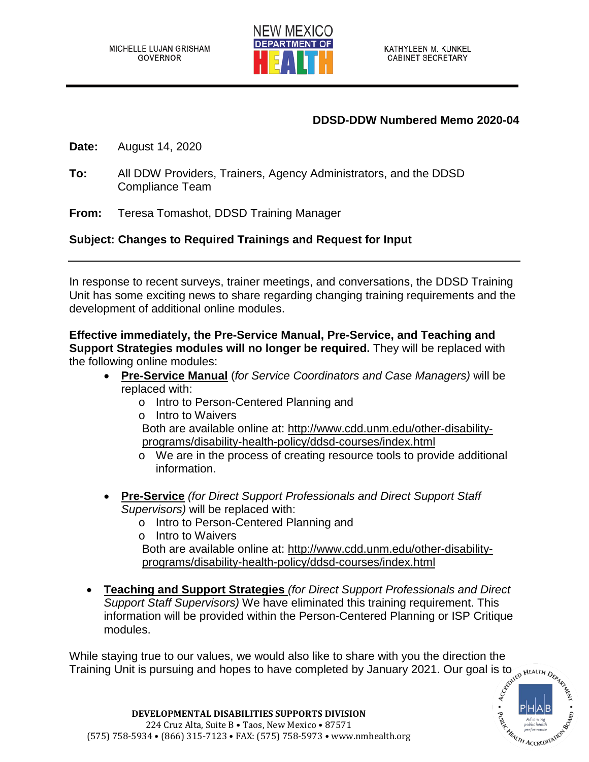

## **DDSD-DDW Numbered Memo 2020-04**

**Date:** August 14, 2020

- **To:** All DDW Providers, Trainers, Agency Administrators, and the DDSD Compliance Team
- **From:** Teresa Tomashot, DDSD Training Manager

## **Subject: Changes to Required Trainings and Request for Input**

In response to recent surveys, trainer meetings, and conversations, the DDSD Training Unit has some exciting news to share regarding changing training requirements and the development of additional online modules.

**Effective immediately, the Pre-Service Manual, Pre-Service, and Teaching and Support Strategies modules will no longer be required.** They will be replaced with the following online modules:

- **Pre-Service Manual** (*for Service Coordinators and Case Managers)* will be replaced with:
	- o Intro to Person-Centered Planning and
	- o Intro to Waivers

Both are available online at: [http://www.cdd.unm.edu/other-disability](http://www.cdd.unm.edu/other-disability-programs/disability-health-policy/ddsd-courses/index.html)[programs/disability-health-policy/ddsd-courses/index.html](http://www.cdd.unm.edu/other-disability-programs/disability-health-policy/ddsd-courses/index.html)

- o We are in the process of creating resource tools to provide additional information.
- **Pre-Service** *(for Direct Support Professionals and Direct Support Staff Supervisors)* will be replaced with:
	- o Intro to Person-Centered Planning and
	- o Intro to Waivers

Both are available online at: [http://www.cdd.unm.edu/other-disability](http://www.cdd.unm.edu/other-disability-%20programs/disability-health-policy/ddsd-courses/index.html)[programs/disability-health-policy/ddsd-courses/index.html](http://www.cdd.unm.edu/other-disability-%20programs/disability-health-policy/ddsd-courses/index.html)

• **Teaching and Support Strategies** *(for Direct Support Professionals and Direct Support Staff Supervisors)* We have eliminated this training requirement. This information will be provided within the Person-Centered Planning or ISP Critique modules.

While staying true to our values, we would also like to share with you the direction the Training Unit is pursuing and hopes to have completed by January 2021. Our goal is to the MEALTH  $D_{\ell_{\alpha_{\ell}}}$ Training Unit is pursuing and hopes to have completed by January 2021. Our goal is to